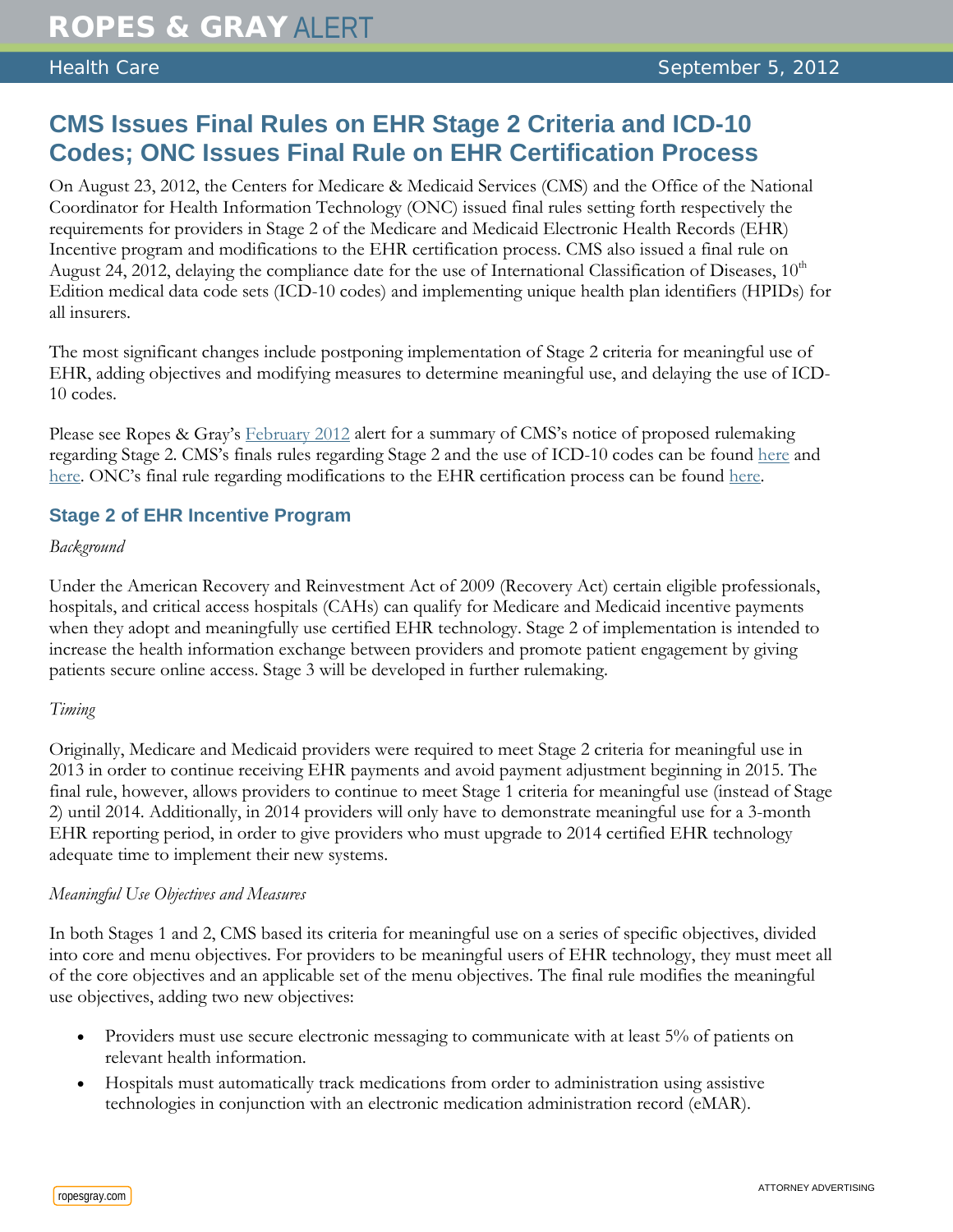# **CMS Issues Final Rules on EHR Stage 2 Criteria and ICD-10 Codes; ONC Issues Final Rule on EHR Certification Process**

On August 23, 2012, the Centers for Medicare & Medicaid Services (CMS) and the Office of the National Coordinator for Health Information Technology (ONC) issued final rules setting forth respectively the requirements for providers in Stage 2 of the Medicare and Medicaid Electronic Health Records (EHR) Incentive program and modifications to the EHR certification process. CMS also issued a final rule on August 24, 2012, delaying the compliance date for the use of International Classification of Diseases, 10<sup>th</sup> Edition medical data code sets (ICD-10 codes) and implementing unique health plan identifiers (HPIDs) for all insurers.

The most significant changes include postponing implementation of Stage 2 criteria for meaningful use of EHR, adding objectives and modifying measures to determine meaningful use, and delaying the use of ICD-10 codes.

Please see Ropes & Gray's [February 2012](http://www.ropesgray.com/files/Publication/68e9b860-9c8f-4c1c-b4ce-574488b6fabb/Presentation/PublicationAttachment/00570daa-1c7c-4167-8c8c-574aea6baaf9/20120228_HC_Alert.pdf) alert for a summary of CMS's notice of proposed rulemaking regarding Stage 2. CMS's finals rules regarding Stage 2 and the use of ICD-10 codes can be found [here](http://www.ofr.gov/(X(1)S(3ppzkw2yurhzhsv1fu2axzpi))/OFRUpload/OFRData/2012-21050_PI.pdf) and [here.](http://www.ofr.gov/(X(1)S(3ppzkw2yurhzhsv1fu2axzpi))/OFRUpload/OFRData/2012-21238_PI.pdf) ONC's final rule regarding modifications to the EHR certification process can be found [here.](http://www.ofr.gov/OFRUpload/OFRData/2012-20982_PI.pdf)

## **Stage 2 of EHR Incentive Program**

#### *Background*

Under the American Recovery and Reinvestment Act of 2009 (Recovery Act) certain eligible professionals, hospitals, and critical access hospitals (CAHs) can qualify for Medicare and Medicaid incentive payments when they adopt and meaningfully use certified EHR technology. Stage 2 of implementation is intended to increase the health information exchange between providers and promote patient engagement by giving patients secure online access. Stage 3 will be developed in further rulemaking.

#### *Timing*

Originally, Medicare and Medicaid providers were required to meet Stage 2 criteria for meaningful use in 2013 in order to continue receiving EHR payments and avoid payment adjustment beginning in 2015. The final rule, however, allows providers to continue to meet Stage 1 criteria for meaningful use (instead of Stage 2) until 2014. Additionally, in 2014 providers will only have to demonstrate meaningful use for a 3-month EHR reporting period, in order to give providers who must upgrade to 2014 certified EHR technology adequate time to implement their new systems.

#### *Meaningful Use Objectives and Measures*

In both Stages 1 and 2, CMS based its criteria for meaningful use on a series of specific objectives, divided into core and menu objectives. For providers to be meaningful users of EHR technology, they must meet all of the core objectives and an applicable set of the menu objectives. The final rule modifies the meaningful use objectives, adding two new objectives:

- Providers must use secure electronic messaging to communicate with at least 5% of patients on relevant health information.
- Hospitals must automatically track medications from order to administration using assistive technologies in conjunction with an electronic medication administration record (eMAR).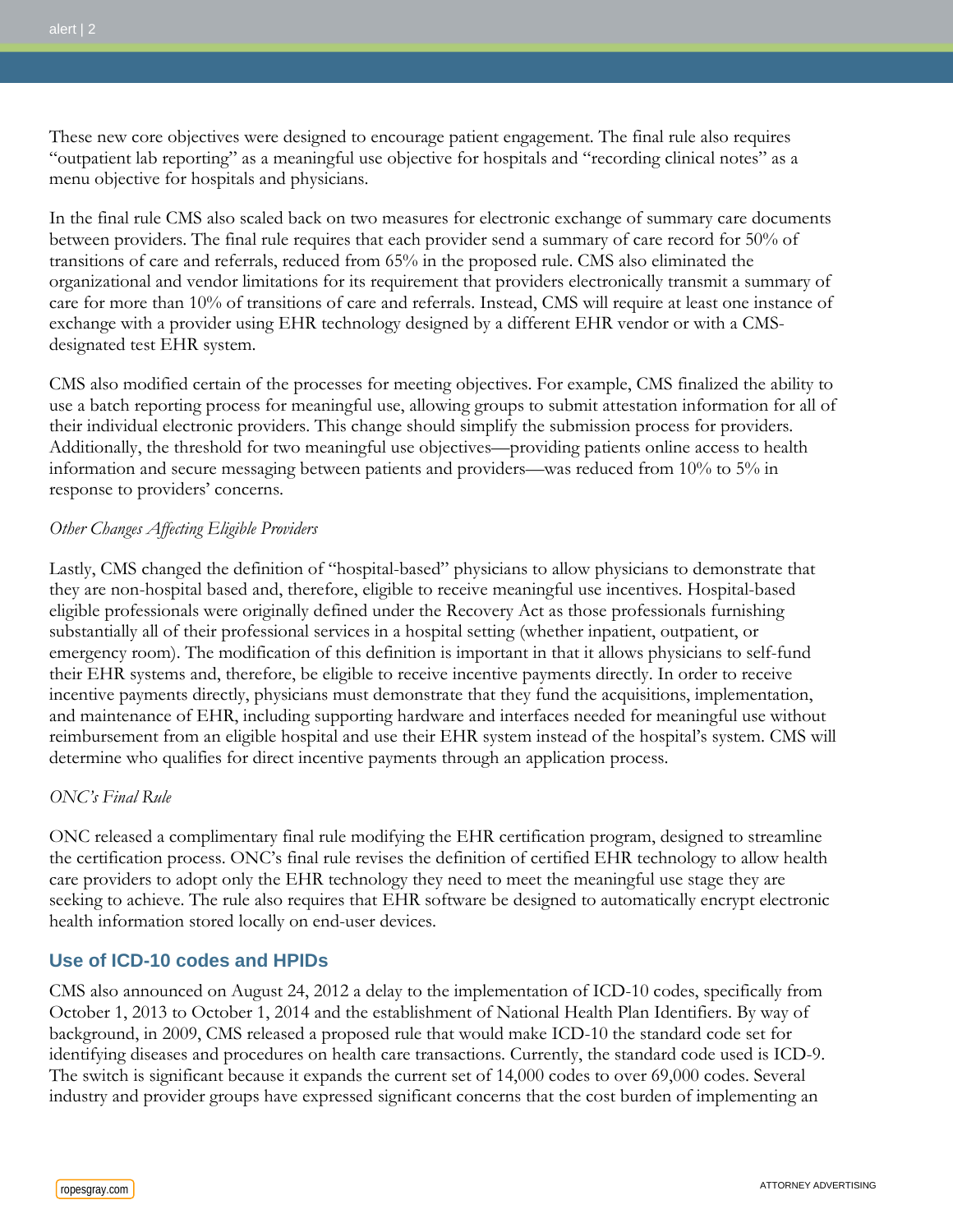These new core objectives were designed to encourage patient engagement. The final rule also requires "outpatient lab reporting" as a meaningful use objective for hospitals and "recording clinical notes" as a menu objective for hospitals and physicians.

In the final rule CMS also scaled back on two measures for electronic exchange of summary care documents between providers. The final rule requires that each provider send a summary of care record for 50% of transitions of care and referrals, reduced from 65% in the proposed rule. CMS also eliminated the organizational and vendor limitations for its requirement that providers electronically transmit a summary of care for more than 10% of transitions of care and referrals. Instead, CMS will require at least one instance of exchange with a provider using EHR technology designed by a different EHR vendor or with a CMSdesignated test EHR system.

CMS also modified certain of the processes for meeting objectives. For example, CMS finalized the ability to use a batch reporting process for meaningful use, allowing groups to submit attestation information for all of their individual electronic providers. This change should simplify the submission process for providers. Additionally, the threshold for two meaningful use objectives—providing patients online access to health information and secure messaging between patients and providers—was reduced from 10% to 5% in response to providers' concerns.

#### *Other Changes Affecting Eligible Providers*

Lastly, CMS changed the definition of "hospital-based" physicians to allow physicians to demonstrate that they are non-hospital based and, therefore, eligible to receive meaningful use incentives. Hospital-based eligible professionals were originally defined under the Recovery Act as those professionals furnishing substantially all of their professional services in a hospital setting (whether inpatient, outpatient, or emergency room). The modification of this definition is important in that it allows physicians to self-fund their EHR systems and, therefore, be eligible to receive incentive payments directly. In order to receive incentive payments directly, physicians must demonstrate that they fund the acquisitions, implementation, and maintenance of EHR, including supporting hardware and interfaces needed for meaningful use without reimbursement from an eligible hospital and use their EHR system instead of the hospital's system. CMS will determine who qualifies for direct incentive payments through an application process.

### *ONC's Final Rule*

ONC released a complimentary final rule modifying the EHR certification program, designed to streamline the certification process. ONC's final rule revises the definition of certified EHR technology to allow health care providers to adopt only the EHR technology they need to meet the meaningful use stage they are seeking to achieve. The rule also requires that EHR software be designed to automatically encrypt electronic health information stored locally on end-user devices.

#### **Use of ICD-10 codes and HPIDs**

CMS also announced on August 24, 2012 a delay to the implementation of ICD-10 codes, specifically from October 1, 2013 to October 1, 2014 and the establishment of National Health Plan Identifiers. By way of background, in 2009, CMS released a proposed rule that would make ICD-10 the standard code set for identifying diseases and procedures on health care transactions. Currently, the standard code used is ICD-9. The switch is significant because it expands the current set of 14,000 codes to over 69,000 codes. Several industry and provider groups have expressed significant concerns that the cost burden of implementing an